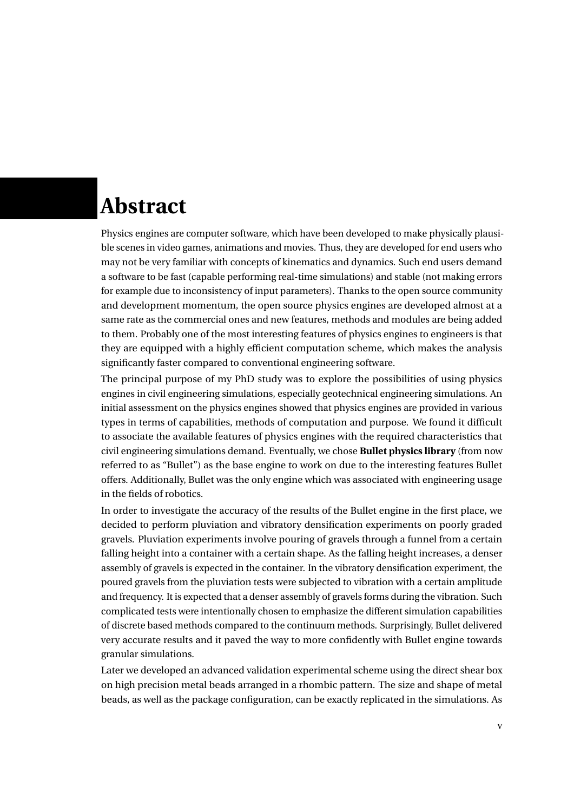## **Abstract**

Physics engines are computer software, which have been developed to make physically plausible scenes in video games, animations and movies. Thus, they are developed for end users who may not be very familiar with concepts of kinematics and dynamics. Such end users demand a software to be fast (capable performing real-time simulations) and stable (not making errors for example due to inconsistency of input parameters). Thanks to the open source community and development momentum, the open source physics engines are developed almost at a same rate as the commercial ones and new features, methods and modules are being added to them. Probably one of the most interesting features of physics engines to engineers is that they are equipped with a highly efficient computation scheme, which makes the analysis significantly faster compared to conventional engineering software.

The principal purpose of my PhD study was to explore the possibilities of using physics engines in civil engineering simulations, especially geotechnical engineering simulations. An initial assessment on the physics engines showed that physics engines are provided in various types in terms of capabilities, methods of computation and purpose. We found it difficult to associate the available features of physics engines with the required characteristics that civil engineering simulations demand. Eventually, we chose **Bullet physics library** (from now referred to as "Bullet") as the base engine to work on due to the interesting features Bullet offers. Additionally, Bullet was the only engine which was associated with engineering usage in the fields of robotics.

In order to investigate the accuracy of the results of the Bullet engine in the first place, we decided to perform pluviation and vibratory densification experiments on poorly graded gravels. Pluviation experiments involve pouring of gravels through a funnel from a certain falling height into a container with a certain shape. As the falling height increases, a denser assembly of gravels is expected in the container. In the vibratory densification experiment, the poured gravels from the pluviation tests were subjected to vibration with a certain amplitude and frequency. It is expected that a denser assembly of gravels forms during the vibration. Such complicated tests were intentionally chosen to emphasize the different simulation capabilities of discrete based methods compared to the continuum methods. Surprisingly, Bullet delivered very accurate results and it paved the way to more confidently with Bullet engine towards granular simulations.

Later we developed an advanced validation experimental scheme using the direct shear box on high precision metal beads arranged in a rhombic pattern. The size and shape of metal beads, as well as the package configuration, can be exactly replicated in the simulations. As